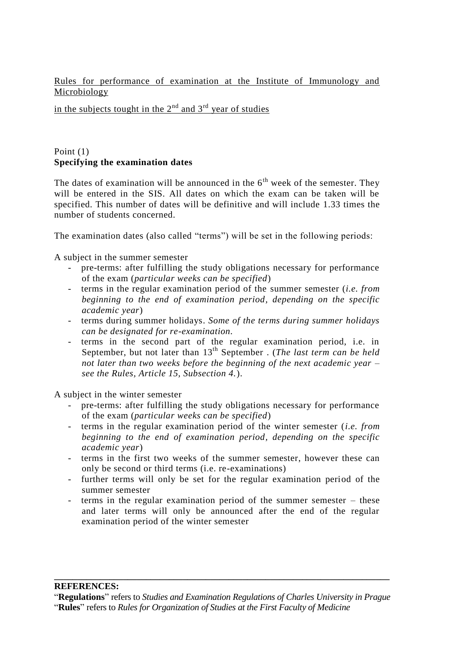Rules for performance of examination at the Institute of Immunology and Microbiology

in the subjects tought in the  $2<sup>nd</sup>$  and  $3<sup>rd</sup>$  year of studies

## Point (1) **Specifying the examination dates**

The dates of examination will be announced in the  $6<sup>th</sup>$  week of the semester. They will be entered in the SIS. All dates on which the exam can be taken will be specified. This number of dates will be definitive and will include 1.33 times the number of students concerned.

The examination dates (also called "terms") will be set in the following periods:

A subject in the summer semester

- pre-terms: after fulfilling the study obligations necessary for performance of the exam (*particular weeks can be specified*)
- terms in the regular examination period of the summer semester (*i.e. from beginning to the end of examination period, depending on the specific academic year*)
- terms during summer holidays. *Some of the terms during summer holidays can be designated for re-examination.*
- terms in the second part of the regular examination period, i.e. in September, but not later than 13<sup>th</sup> September . (*The last term can be held not later than two weeks before the beginning of the next academic year – see the Rules, Article 15, Subsection 4.*).

A subject in the winter semester

- pre-terms: after fulfilling the study obligations necessary for performance of the exam (*particular weeks can be specified*)
- terms in the regular examination period of the winter semester (*i.e. from beginning to the end of examination period, depending on the specific academic year*)
- terms in the first two weeks of the summer semester, however these can only be second or third terms (i.e. re-examinations)
- further terms will only be set for the regular examination period of the summer semester
- terms in the regular examination period of the summer semester these and later terms will only be announced after the end of the regular examination period of the winter semester

#### **REFERENCES:**

**\_\_\_\_\_\_\_\_\_\_\_\_\_\_\_\_\_\_\_\_\_\_\_\_\_\_\_\_\_\_\_\_\_\_\_\_\_\_\_\_\_\_\_\_\_\_\_\_\_\_\_\_\_\_\_\_\_\_\_\_\_\_\_\_\_\_\_\_\_\_\_\_\_**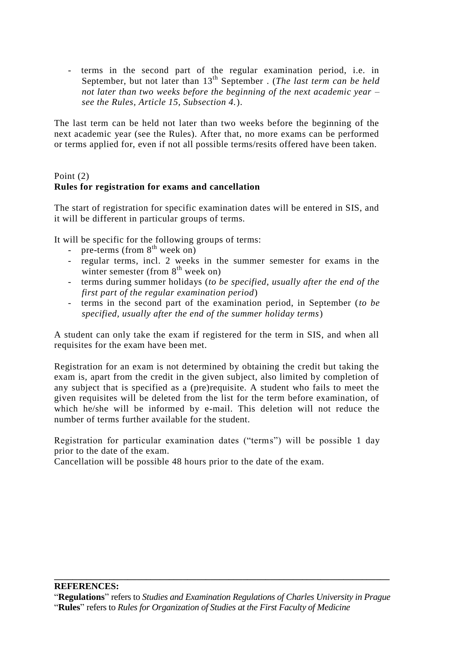- terms in the second part of the regular examination period, i.e. in September, but not later than 13<sup>th</sup> September . (*The last term can be held not later than two weeks before the beginning of the next academic year – see the Rules, Article 15, Subsection 4.*).

The last term can be held not later than two weeks before the beginning of the next academic year (see the Rules). After that, no more exams can be performed or terms applied for, even if not all possible terms/resits offered have been taken.

## Point (2) **Rules for registration for exams and cancellation**

The start of registration for specific examination dates will be entered in SIS, and it will be different in particular groups of terms.

It will be specific for the following groups of terms:

- pre-terms (from  $8^{th}$  week on)
- regular terms, incl. 2 weeks in the summer semester for exams in the winter semester (from  $8<sup>th</sup>$  week on)
- terms during summer holidays (*to be specified, usually after the end of the first part of the regular examination period*)
- terms in the second part of the examination period, in September (*to be specified, usually after the end of the summer holiday terms*)

A student can only take the exam if registered for the term in SIS, and when all requisites for the exam have been met.

Registration for an exam is not determined by obtaining the credit but taking the exam is, apart from the credit in the given subject, also limited by completion of any subject that is specified as a (pre)requisite. A student who fails to meet the given requisites will be deleted from the list for the term before examination, of which he/she will be informed by e-mail. This deletion will not reduce the number of terms further available for the student.

Registration for particular examination dates ("terms") will be possible 1 day prior to the date of the exam.

Cancellation will be possible 48 hours prior to the date of the exam.

"**Regulations**" refers to *Studies and Examination Regulations of Charles University in Prague*

**\_\_\_\_\_\_\_\_\_\_\_\_\_\_\_\_\_\_\_\_\_\_\_\_\_\_\_\_\_\_\_\_\_\_\_\_\_\_\_\_\_\_\_\_\_\_\_\_\_\_\_\_\_\_\_\_\_\_\_\_\_\_\_\_\_\_\_\_\_\_\_\_\_**

"**Rules**" refers to *Rules for Organization of Studies at the First Faculty of Medicine*